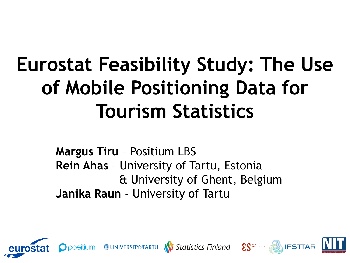# **Eurostat Feasibility Study: The Use of Mobile Positioning Data for Tourism Statistics**

**Margus Tiru** – Positium LBS **Rein Ahas** – University of Tartu, Estonia & University of Ghent, Belgium **Janika Raun** – University of Tartu

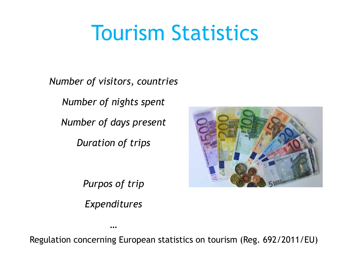# Tourism Statistics

*Number of visitors, countries*

*Number of nights spent* 

*Number of days present* 

*Duration of trips* 



*Purpos of trip*

*Expenditures*

*…*

Regulation concerning European statistics on tourism (Reg. 692/2011/EU)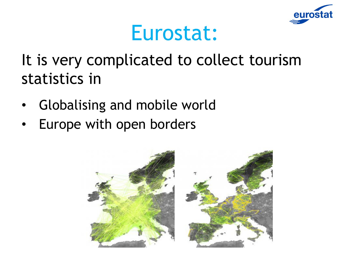

### Eurostat:

It is very complicated to collect tourism statistics in

- Globalising and mobile world
- Europe with open borders

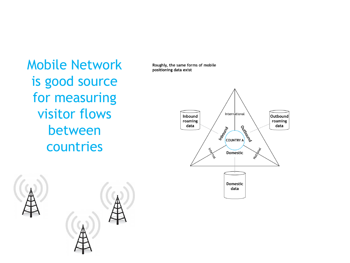Mobile Network is good source for measuring visitor flows between countries



Roughly, the same forms of mobile positioning data exist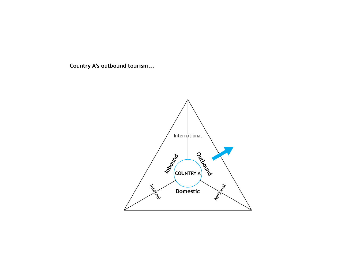Country A's outbound tourism...

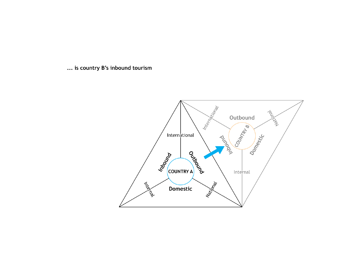... is country B's inbound tourism

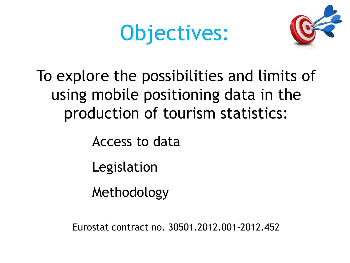# Objectives:



### To explore the possibilities and limits of using mobile positioning data in the production of tourism statistics:

Access to data

Legislation

Methodology

Eurostat contract no. 30501.2012.001-2012.452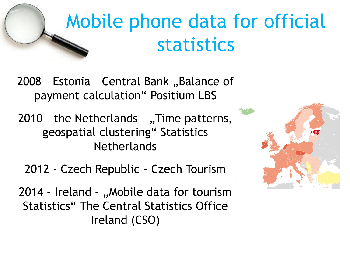# Mobile phone data for official statistics

2008 - Estonia - Central Bank "Balance of payment calculation" Positium LBS

2010 - the Netherlands - "Time patterns, geospatial clustering" Statistics **Netherlands** 

2012 - Czech Republic – Czech Tourism

2014 - Ireland - "Mobile data for tourism Statistics" The Central Statistics Office Ireland (CSO)

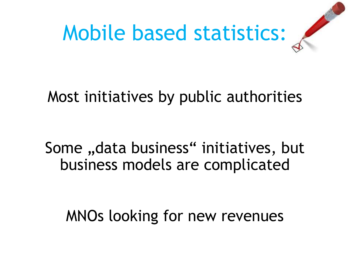

#### Most initiatives by public authorities

Some "data business" initiatives, but business models are complicated

MNOs looking for new revenues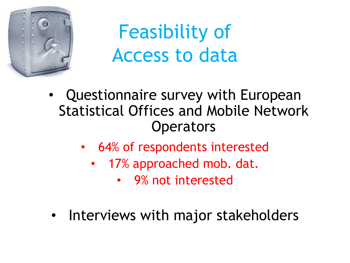

# Feasibility of Access to data

- Questionnaire survey with European Statistical Offices and Mobile Network **Operators** 
	- 64% of respondents interested
		- 17% approached mob. dat.
			- 9% not interested
- Interviews with major stakeholders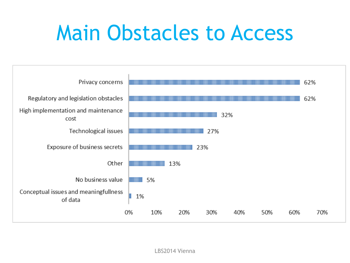# Main Obstacles to Access

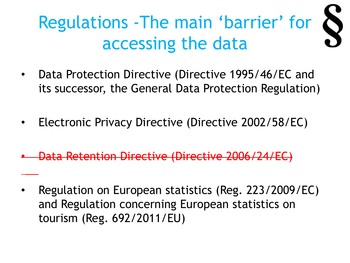#### Regulations -The main 'barrier' for  $\bullet$ accessing the data

- Data Protection Directive (Directive 1995/46/EC and its successor, the General Data Protection Regulation)
- Electronic Privacy Directive (Directive 2002/58/EC)
- Data Retention Directive (Directive 2006/24/EC)
- Regulation on European statistics (Reg. 223/2009/EC) and Regulation concerning European statistics on tourism (Reg. 692/2011/EU)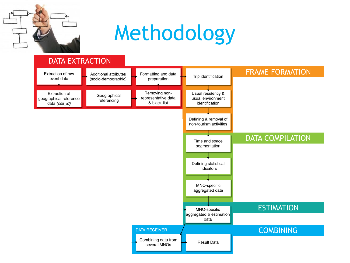

# Methodology

#### DATA EXTRACTION FRAME FORMATION Formatting and data Extraction of raw Additional attributes Trip identification event data preparation (socio-demographic) Extraction of Removing non-Usual residency & Geographical geographical reference representative data usual environment referencing & black-list data (cell\_id) identification Defining & removal of non-tourism activities DATA COMPILATION Time and space segmentation Defining statistical indicators MNO-specific aggregated data **ESTIMATION** MNO-specific aggregated & estimation data COMBINING**DATA RECEIVER** Combining data from **Result Data** several MNOs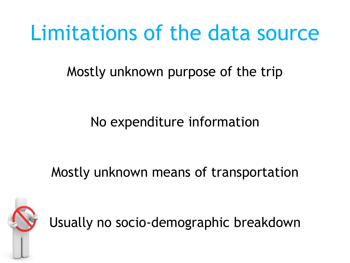# Limitations of the data source

Mostly unknown purpose of the trip

#### No expenditure information

#### Mostly unknown means of transportation



Usually no socio-demographic breakdown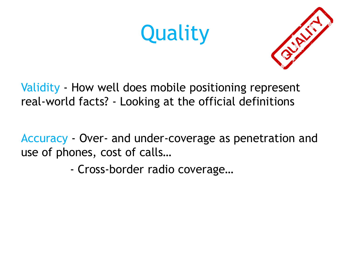# **Quality**



Validity - How well does mobile positioning represent real-world facts? - Looking at the official definitions

Accuracy - Over- and under-coverage as penetration and use of phones, cost of calls…

- Cross-border radio coverage…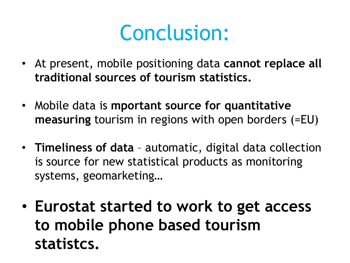## Conclusion:

- At present, mobile positioning data **cannot replace all traditional sources of tourism statistics.**
- Mobile data is **mportant source for quantitative measuring** tourism in regions with open borders (=EU)
- **Timeliness of data** automatic, digital data collection is source for new statistical products as monitoring systems, geomarketing…
- **Eurostat started to work to get access to mobile phone based tourism statistcs.**